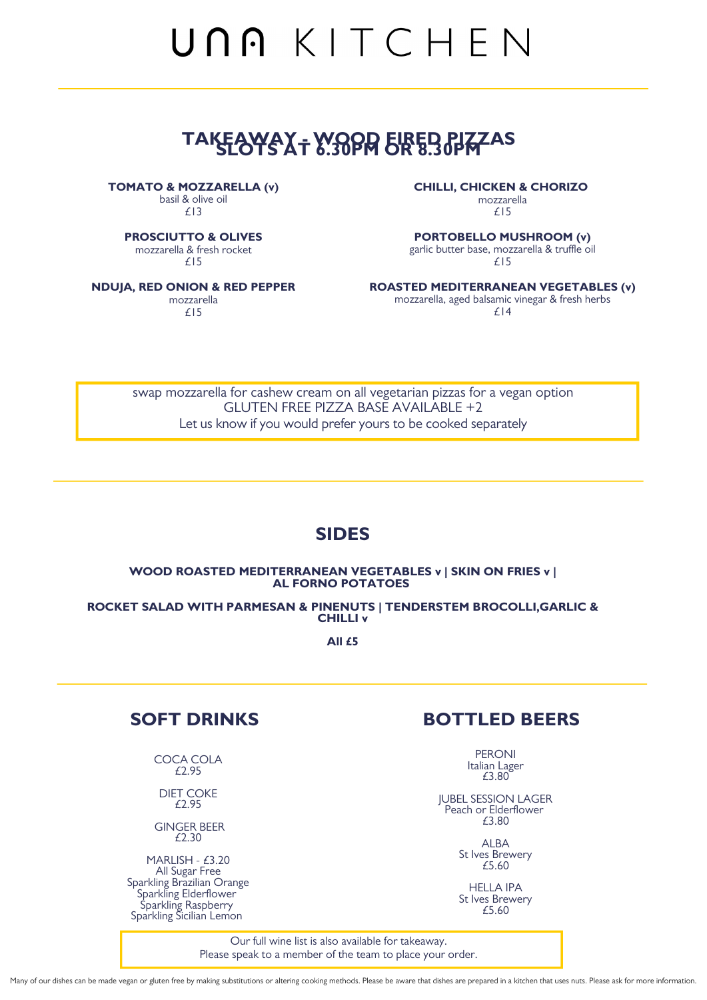Our full wine list is also available for takeaway. Please speak to a member of the team to place your order.

Many of our dishes can be made vegan or gluten free by making substitutions or altering cooking methods. Please be aware that dishes are prepared in a kitchen that uses nuts. Please ask for more information.

swap mozzarella for cashew cream on all vegetarian pizzas for a vegan option GLUTEN FREE PIZZA BASE AVAILABLE +2 Let us know if you would prefer yours to be cooked separately



# UNA KITCHEN

## **TAKEAWAY - WOOD FIRED PIZZAS SLOTS AT 6.30PM OR 8.30PM**

#### **WOOD ROASTED MEDITERRANEAN VEGETABLES v | SKIN ON FRIES v | AL FORNO POTATOES**

#### **ROCKET SALAD WITH PARMESAN & PINENUTS | TENDERSTEM BROCOLLI,GARLIC & CHILLI v**

**All £5**

#### **CHILLI, CHICKEN & CHORIZO**

mozzarella £15

#### **PORTOBELLO MUSHROOM (v)**

garlic butter base, mozzarella & truffle oil £15

### **ROASTED MEDITERRANEAN VEGETABLES (v)**

mozzarella, aged balsamic vinegar & fresh herbs £14

#### **TOMATO & MOZZARELLA (v)**

basil & olive oil £13

**PROSCIUTTO & OLIVES**

mozzarella & fresh rocket

£15

#### **NDUJA, RED ONION & RED PEPPER**

mozzarella £15